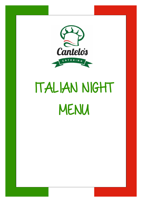

## ITALIAN NIGHT MENU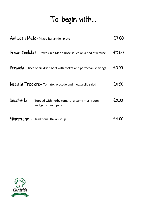## To begin with...

| Antipasti Misto-Mixed Italian deli plate                                          | £7.00 |
|-----------------------------------------------------------------------------------|-------|
| Prawn Cocktail-Prawns in a Marie-Rose sauce on a bed of lettuce                   | £5.00 |
| <b>Bresaola</b> - Slices of air-dried beef with rocket and parmesan shavings      | £5.50 |
| <b>Insalata Tricolore-</b> Tomato, avocado and mozzarella salad                   | £4.50 |
| Bruschetta -<br>Topped with herby tomato, creamy mushroom<br>and garlic bean pate | £5.00 |
| Minestrone - Traditional Italian soup                                             |       |

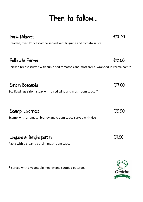## Then to follow...

| Pork Milanese                                                                                             | £12.50 |
|-----------------------------------------------------------------------------------------------------------|--------|
| Breaded, fried Pork Escalope served with linguine and tomato sauce                                        |        |
| Pollo alla Parma<br>Chicken breast stuffed with sun-dried tomatoes and mozzarella, wrapped in Parma ham * | £13.00 |
| Sirloin Boscaiola<br>80z Rawlings sirloin steak with a red wine and mushroom sauce *                      | £17.00 |
| Scampi Livornese<br>Scampi with a tomato, brandy and cream sauce served with rice                         | £15.50 |
| Linguini ai funghi porcini<br>Pasta with a creamy porcini mushroom sauce                                  | £11.00 |

\* Served with a vegetable medley and sautéed potatoes